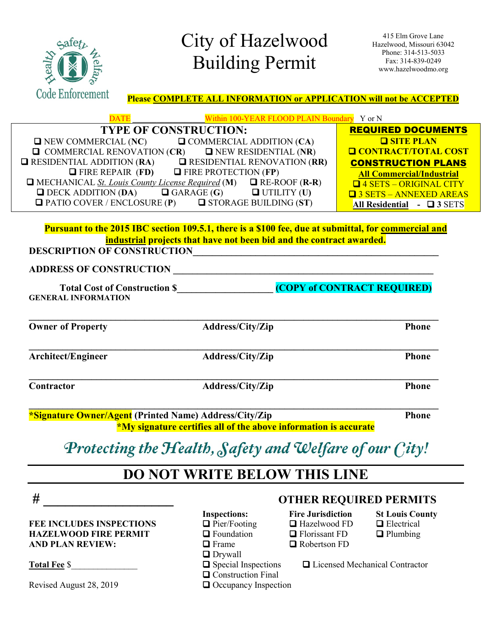

### City of Hazelwood Building Permit

415 Elm Grove Lane Hazelwood, Missouri 63042 Phone: 314-513-5033 Fax: 314-839-0249 www.hazelwoodmo.org

**Please COMPLETE ALL INFORMATION or APPLICATION will not be ACCEPTED**

| Within 100-YEAR FLOOD PLAIN Boundary Y or N                                         |                                  |  |
|-------------------------------------------------------------------------------------|----------------------------------|--|
| <b>TYPE OF CONSTRUCTION:</b>                                                        | <b>REQUIRED DOCUMENTS</b>        |  |
| $\Box$ NEW COMMERCIAL (NC)<br>$\Box$ COMMERCIAL ADDITION (CA)                       | <b>O SITE PLAN</b>               |  |
| $\Box$ NEW RESIDENTIAL (NR)<br>$\Box$ COMMERCIAL RENOVATION (CR)                    | <b>Q CONTRACT/TOTAL COST</b>     |  |
| $\Box$ RESIDENTIAL RENOVATION (RR)<br>$\Box$ RESIDENTIAL ADDITION (RA)              | <b>CONSTRUCTION PLANS</b>        |  |
| $\Box$ FIRE PROTECTION (FP)<br>$\Box$ FIRE REPAIR (FD)                              | <b>All Commercial/Industrial</b> |  |
| $\Box$ MECHANICAL <u>St. Louis County License Required</u> (M) $\Box$ RE-ROOF (R-R) | <b>Q</b> 4 SETS - ORIGINAL CITY  |  |
| $\Box$ DECK ADDITION (DA)<br>$\Box$ UTILITY (U)<br>$\Box$ GARAGE (G)                | <b>Q</b> 3 SETS - ANNEXED AREAS  |  |
| $\Box$ PATIO COVER / ENCLOSURE (P)<br>$\Box$ STORAGE BUILDING (ST)                  | All Residential - $\Box$ 3 SETS  |  |

#### **Pursuant to the 2015 IBC section 109.5.1, there is a \$100 fee, due at submittal, for commercial and industrial projects that have not been bid and the contract awarded. DESCRIPTION OF CONSTRUCTION\_\_\_\_\_\_\_\_\_\_\_\_\_\_\_\_\_\_\_\_\_\_\_\_\_\_\_\_\_\_\_\_\_\_\_\_\_\_\_\_\_\_\_\_\_\_\_\_\_\_\_**

**ADDRESS OF CONSTRUCTION \_\_\_\_\_\_\_\_\_\_\_\_\_\_\_\_\_\_\_\_\_\_\_\_\_\_\_\_\_\_\_\_\_\_\_\_\_\_\_\_\_\_\_\_\_\_\_\_\_\_\_\_\_\_**

Total Cost of Construction \$\_\_\_\_\_\_\_\_\_\_\_\_\_\_\_\_\_\_\_\_\_\_(COPY of CONTRACT REQUIRED) **GENERAL INFORMATION**

| <b>Owner of Property</b>                                                           | Address/City/Zip | <b>Phone</b> |
|------------------------------------------------------------------------------------|------------------|--------------|
| <b>Architect/Engineer</b>                                                          | Address/City/Zip | <b>Phone</b> |
| Contractor                                                                         | Address/City/Zip | <b>Phone</b> |
| 200<br>$\sqrt{N}$ $\sqrt{N}$<br>$\mathbf{A}$<br>$\sim$<br><b>Contract Contract</b> | $\overline{1}$   | т.           |

**\*Signature Owner/Agent (Printed Name) Address/City/Zip Phone \*My signature certifies all of the above information is accurate**

### Protecting the Health, Safety and Welfare of our City!

### **DO NOT WRITE BELOW THIS LINE**

**FEE INCLUDES INSPECTIONS**  $\Box$  Pier/Footing  $\Box$  Hazelwood FD  $\Box$  Electrical **HAZELWOOD FIRE PERMIT**  $\qquad \qquad \Box$  Foundation  $\qquad \qquad \Box$  Florissant FD  $\qquad \qquad \Box$  Plumbing **AND PLAN REVIEW:**  $\Box$  Frame  $\Box$  Robertson FD

Revised August 28, 2019  $\Box$  Occupancy Inspection

- 
- 
- 
- 
- **O** Drywall
- 
- **Q** Construction Final

# **# \_\_\_\_\_\_\_\_\_\_\_\_\_\_\_\_\_\_ OTHER REQUIRED PERMITS Inspections: Fire Jurisdiction St Louis County**

- -
- 

Total Fee \$ <br> **C** Special Inspections Q Licensed Mechanical Contractor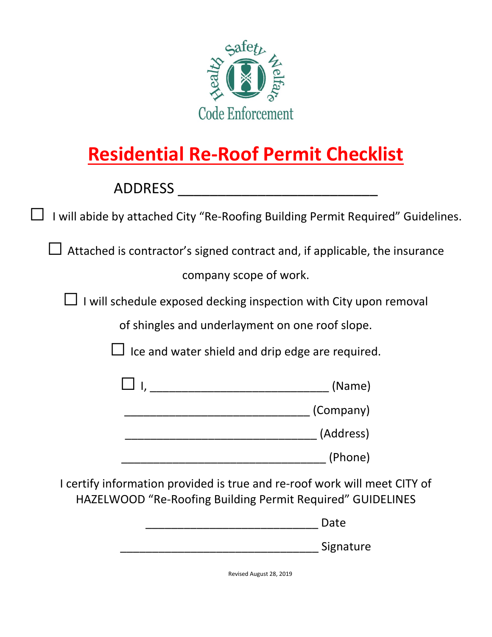

### **Residential Re-Roof Permit Checklist**

ADDRESS \_\_\_\_\_\_\_\_\_\_\_\_\_\_\_\_\_\_\_\_\_\_\_\_\_

 $\Box$  I will abide by attached City "Re-Roofing Building Permit Required" Guidelines.

 $\Box$  Attached is contractor's signed contract and, if applicable, the insurance company scope of work.

 $\Box$  I will schedule exposed decking inspection with City upon removal

of shingles and underlayment on one roof slope.

 $\Box$  Ice and water shield and drip edge are required.

| (Name)    |
|-----------|
| (Company) |
| (Address) |

I certify information provided is true and re-roof work will meet CITY of HAZELWOOD "Re-Roofing Building Permit Required" GUIDELINES

|  |  |  | Date |  |
|--|--|--|------|--|
|  |  |  |      |  |

| Signature |
|-----------|
|           |

\_\_\_\_\_\_\_\_\_\_\_\_\_\_\_\_\_\_\_\_\_\_\_\_\_\_\_\_\_\_\_\_ (Phone)

Revised August 28, 2019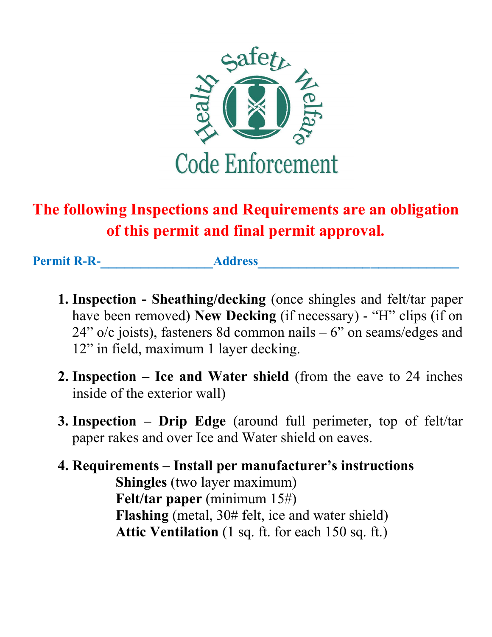

### **The following Inspections and Requirements are an obligation of this permit and final permit approval.**

Permit R-R-<br> **Address** 

- **1. Inspection Sheathing/decking** (once shingles and felt/tar paper have been removed) **New Decking** (if necessary) - "H" clips (if on  $24$ " o/c joists), fasteners 8d common nails  $-6$ " on seams/edges and 12" in field, maximum 1 layer decking.
- **2. Inspection Ice and Water shield** (from the eave to 24 inches inside of the exterior wall)
- **3. Inspection Drip Edge** (around full perimeter, top of felt/tar paper rakes and over Ice and Water shield on eaves.
- **4. Requirements Install per manufacturer's instructions Shingles** (two layer maximum) **Felt/tar paper** (minimum 15#) **Flashing** (metal, 30# felt, ice and water shield) **Attic Ventilation** (1 sq. ft. for each 150 sq. ft.)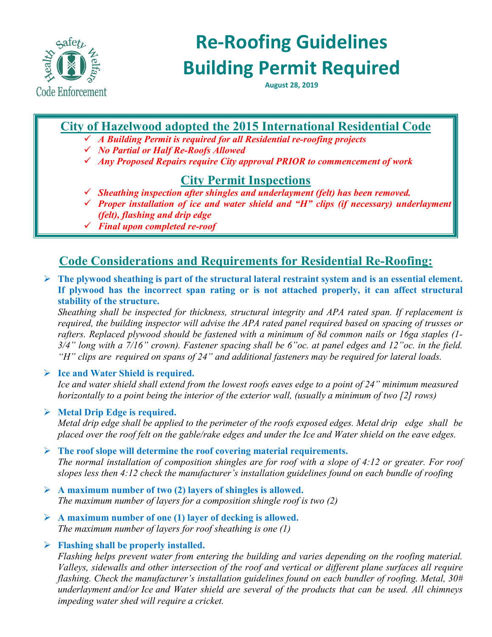

### **Re-Roofing Guidelines Building Permit Required**

**August 28, 2019**

#### **City of Hazelwood adopted the 2015 International Residential Code**

- *A Building Permit is required for all Residential re-roofing projects*
- *No Partial or Half Re-Roofs Allowed*
- *Any Proposed Repairs require City approval PRIOR to commencement of work*

#### **City Permit Inspections**

- *Sheathing inspection after shingles and underlayment (felt) has been removed.*
- *Proper installation of ice and water shield and "H" clips (if necessary) underlayment (felt), flashing and drip edge*
- *Final upon completed re-roof*

### **Code Considerations and Requirements for Residential Re-Roofing:**

 **The plywood sheathing is part of the structural lateral restraint system and is an essential element. If plywood has the incorrect span rating or is not attached properly, it can affect structural stability of the structure.** 

*Sheathing shall be inspected for thickness, structural integrity and APA rated span. If replacement is required, the building inspector will advise the APA rated panel required based on spacing of trusses or rafters. Replaced plywood should be fastened with a minimum of 8d common nails or 16ga staples (1- 3/4" long with a 7/16" crown). Fastener spacing shall be 6"oc. at panel edges and 12"oc. in the field. "H" clips are required on spans of 24" and additional fasteners may be required for lateral loads.* 

#### **Ice and Water Shield is required.**

*Ice and water shield shall extend from the lowest roofs eaves edge to a point of 24" minimum measured horizontally to a point being the interior of the exterior wall, (usually a minimum of two [2] rows)*

#### **Metal Drip Edge is required.**

*Metal drip edge shall be applied to the perimeter of the roofs exposed edges. Metal drip edge shall be placed over the roof felt on the gable/rake edges and under the Ice and Water shield on the eave edges.*

- **The roof slope will determine the roof covering material requirements.** *The normal installation of composition shingles are for roof with a slope of 4:12 or greater. For roof slopes less then 4:12 check the manufacturer's installation guidelines found on each bundle of roofing*
- **A maximum number of two (2) layers of shingles is allowed.**  *The maximum number of layers for a composition shingle roof is two (2)*
- **A maximum number of one (1) layer of decking is allowed.**  *The maximum number of layers for roof sheathing is one (1)*

#### **Flashing shall be properly installed.**

*Flashing helps prevent water from entering the building and varies depending on the roofing material. Valleys, sidewalls and other intersection of the roof and vertical or different plane surfaces all require flashing. Check the manufacturer's installation guidelines found on each bundler of roofing. Metal, 30# underlayment and/or Ice and Water shield are several of the products that can be used. All chimneys impeding water shed will require a cricket.*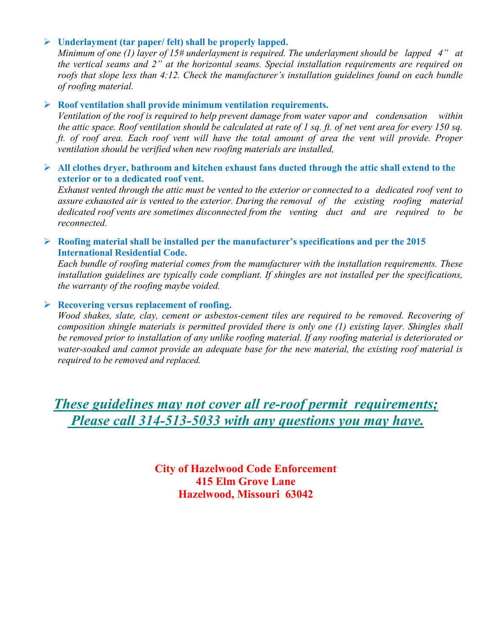#### **Underlayment (tar paper/ felt) shall be properly lapped.**

*Minimum of one (1) layer of 15# underlayment is required. The underlayment should be lapped 4" at the vertical seams and 2" at the horizontal seams. Special installation requirements are required on roofs that slope less than 4:12. Check the manufacturer's installation guidelines found on each bundle of roofing material.* 

#### **Roof ventilation shall provide minimum ventilation requirements.**

*Ventilation of the roof is required to help prevent damage from water vapor and condensation within the attic space. Roof ventilation should be calculated at rate of 1 sq. ft. of net vent area for every 150 sq. ft. of roof area. Each roof vent will have the total amount of area the vent will provide. Proper ventilation should be verified when new roofing materials are installed,* 

#### **All clothes dryer, bathroom and kitchen exhaust fans ducted through the attic shall extend to the exterior or to a dedicated roof vent.**

*Exhaust vented through the attic must be vented to the exterior or connected to a dedicated roof vent to assure exhausted air is vented to the exterior. During the removal of the existing roofing material dedicated roof vents are sometimes disconnected from the venting duct and are required to be reconnected.* 

#### **Roofing material shall be installed per the manufacturer's specifications and per the 2015 International Residential Code.**

*Each bundle of roofing material comes from the manufacturer with the installation requirements. These installation guidelines are typically code compliant. If shingles are not installed per the specifications, the warranty of the roofing maybe voided.* 

#### **Recovering versus replacement of roofing.**

*Wood shakes, slate, clay, cement or asbestos-cement tiles are required to be removed. Recovering of composition shingle materials is permitted provided there is only one (1) existing layer. Shingles shall be removed prior to installation of any unlike roofing material. If any roofing material is deteriorated or water-soaked and cannot provide an adequate base for the new material, the existing roof material is required to be removed and replaced.* 

*These guidelines may not cover all re-roof permit requirements; Please call 314-513-5033 with any questions you may have.* 

> **City of Hazelwood Code Enforcement 415 Elm Grove Lane Hazelwood, Missouri 63042**